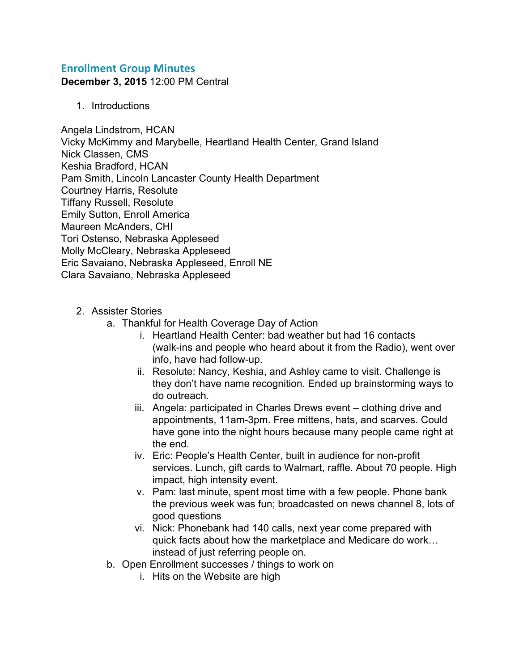## **Enrollment Group Minutes**

**December 3, 2015** 12:00 PM Central

1. Introductions

Angela Lindstrom, HCAN Vicky McKimmy and Marybelle, Heartland Health Center, Grand Island Nick Classen, CMS Keshia Bradford, HCAN Pam Smith, Lincoln Lancaster County Health Department Courtney Harris, Resolute Tiffany Russell, Resolute Emily Sutton, Enroll America Maureen McAnders, CHI Tori Ostenso, Nebraska Appleseed Molly McCleary, Nebraska Appleseed Eric Savaiano, Nebraska Appleseed, Enroll NE Clara Savaiano, Nebraska Appleseed

- 2. Assister Stories
	- a. Thankful for Health Coverage Day of Action
		- i. Heartland Health Center: bad weather but had 16 contacts (walk-ins and people who heard about it from the Radio), went over info, have had follow-up.
		- ii. Resolute: Nancy, Keshia, and Ashley came to visit. Challenge is they don't have name recognition. Ended up brainstorming ways to do outreach.
		- iii. Angela: participated in Charles Drews event clothing drive and appointments, 11am-3pm. Free mittens, hats, and scarves. Could have gone into the night hours because many people came right at the end.
		- iv. Eric: People's Health Center, built in audience for non-profit services. Lunch, gift cards to Walmart, raffle. About 70 people. High impact, high intensity event.
		- v. Pam: last minute, spent most time with a few people. Phone bank the previous week was fun; broadcasted on news channel 8, lots of good questions
		- vi. Nick: Phonebank had 140 calls, next year come prepared with quick facts about how the marketplace and Medicare do work… instead of just referring people on.
	- b. Open Enrollment successes / things to work on
		- i. Hits on the Website are high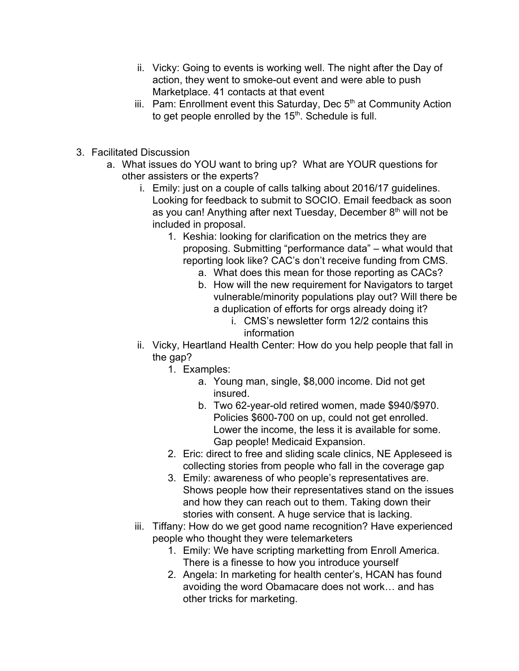- ii. Vicky: Going to events is working well. The night after the Day of action, they went to smoke-out event and were able to push Marketplace. 41 contacts at that event
- iii. Pam: Enrollment event this Saturday, Dec  $5<sup>th</sup>$  at Community Action to get people enrolled by the  $15<sup>th</sup>$ . Schedule is full.
- 3. Facilitated Discussion
	- a. What issues do YOU want to bring up? What are YOUR questions for other assisters or the experts?
		- i. Emily: just on a couple of calls talking about 2016/17 guidelines. Looking for feedback to submit to SOCIO. Email feedback as soon as you can! Anything after next Tuesday, December 8<sup>th</sup> will not be included in proposal.
			- 1. Keshia: looking for clarification on the metrics they are proposing. Submitting "performance data" – what would that reporting look like? CAC's don't receive funding from CMS.
				- a. What does this mean for those reporting as CACs?
				- b. How will the new requirement for Navigators to target vulnerable/minority populations play out? Will there be a duplication of efforts for orgs already doing it?
					- i. CMS's newsletter form 12/2 contains this information
		- ii. Vicky, Heartland Health Center: How do you help people that fall in the gap?
			- 1. Examples:
				- a. Young man, single, \$8,000 income. Did not get insured.
				- b. Two 62-year-old retired women, made \$940/\$970. Policies \$600-700 on up, could not get enrolled. Lower the income, the less it is available for some. Gap people! Medicaid Expansion.
			- 2. Eric: direct to free and sliding scale clinics, NE Appleseed is collecting stories from people who fall in the coverage gap
			- 3. Emily: awareness of who people's representatives are. Shows people how their representatives stand on the issues and how they can reach out to them. Taking down their stories with consent. A huge service that is lacking.
		- iii. Tiffany: How do we get good name recognition? Have experienced people who thought they were telemarketers
			- 1. Emily: We have scripting marketting from Enroll America. There is a finesse to how you introduce yourself
			- 2. Angela: In marketing for health center's, HCAN has found avoiding the word Obamacare does not work… and has other tricks for marketing.